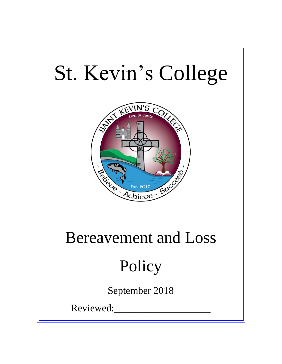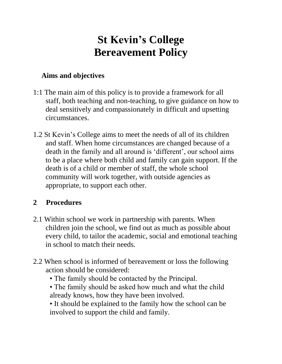## **St Kevin's College Bereavement Policy**

## **Aims and objectives**

- 1:1 The main aim of this policy is to provide a framework for all staff, both teaching and non-teaching, to give guidance on how to deal sensitively and compassionately in difficult and upsetting circumstances.
- 1.2 St Kevin's College aims to meet the needs of all of its children and staff. When home circumstances are changed because of a death in the family and all around is 'different', our school aims to be a place where both child and family can gain support. If the death is of a child or member of staff, the whole school community will work together, with outside agencies as appropriate, to support each other.

## **2 Procedures**

- 2.1 Within school we work in partnership with parents. When children join the school, we find out as much as possible about every child, to tailor the academic, social and emotional teaching in school to match their needs.
- 2.2 When school is informed of bereavement or loss the following action should be considered:
	- The family should be contacted by the Principal.
	- The family should be asked how much and what the child already knows, how they have been involved.

• It should be explained to the family how the school can be involved to support the child and family.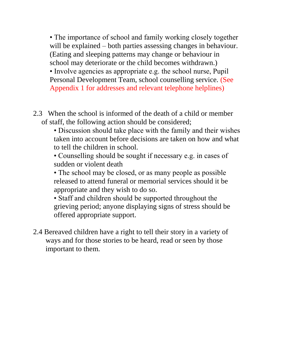• The importance of school and family working closely together will be explained – both parties assessing changes in behaviour. (Eating and sleeping patterns may change or behaviour in school may deteriorate or the child becomes withdrawn.) • Involve agencies as appropriate e.g. the school nurse, Pupil Personal Development Team, school counselling service. (See Appendix 1 for addresses and relevant telephone helplines)

- 2.3 When the school is informed of the death of a child or member of staff, the following action should be considered;
	- Discussion should take place with the family and their wishes taken into account before decisions are taken on how and what to tell the children in school.

• Counselling should be sought if necessary e.g. in cases of sudden or violent death

• The school may be closed, or as many people as possible released to attend funeral or memorial services should it be appropriate and they wish to do so.

• Staff and children should be supported throughout the grieving period; anyone displaying signs of stress should be offered appropriate support.

2.4 Bereaved children have a right to tell their story in a variety of ways and for those stories to be heard, read or seen by those important to them.